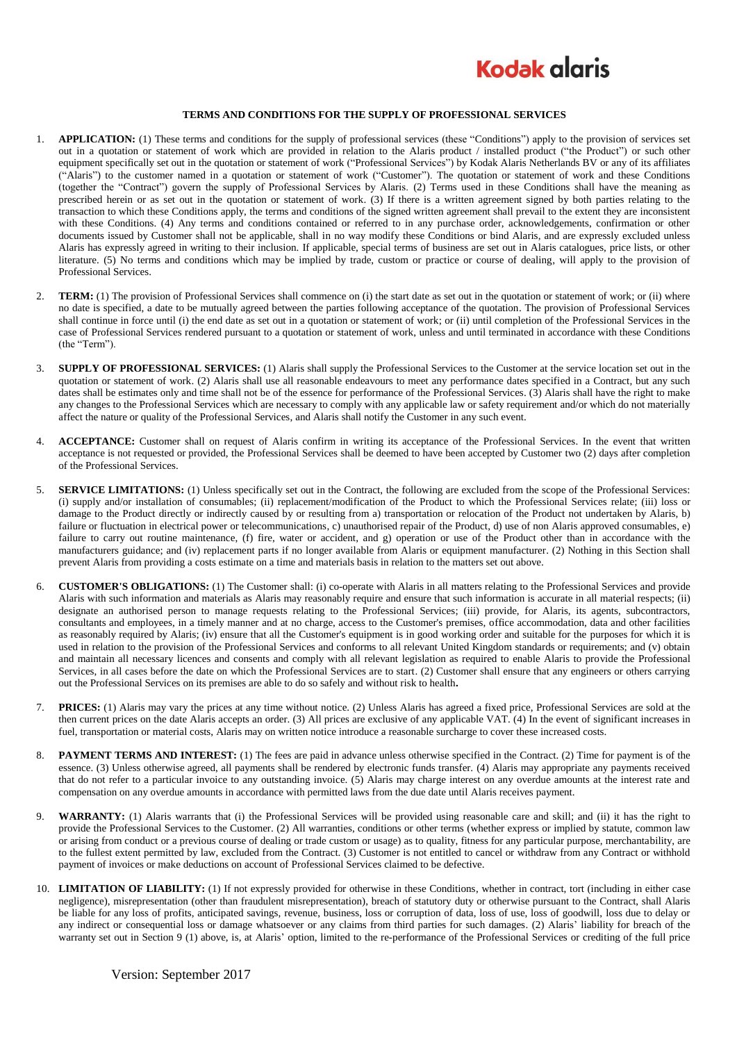

## **TERMS AND CONDITIONS FOR THE SUPPLY OF PROFESSIONAL SERVICES**

- 1. **APPLICATION:** (1) These terms and conditions for the supply of professional services (these "Conditions") apply to the provision of services set out in a quotation or statement of work which are provided in relation to the Alaris product / installed product ("the Product") or such other equipment specifically set out in the quotation or statement of work ("Professional Services") by Kodak Alaris Netherlands BV or any of its affiliates ("Alaris") to the customer named in a quotation or statement of work ("Customer"). The quotation or statement of work and these Conditions (together the "Contract") govern the supply of Professional Services by Alaris. (2) Terms used in these Conditions shall have the meaning as prescribed herein or as set out in the quotation or statement of work. (3) If there is a written agreement signed by both parties relating to the transaction to which these Conditions apply, the terms and conditions of the signed written agreement shall prevail to the extent they are inconsistent with these Conditions. (4) Any terms and conditions contained or referred to in any purchase order, acknowledgements, confirmation or other documents issued by Customer shall not be applicable, shall in no way modify these Conditions or bind Alaris, and are expressly excluded unless Alaris has expressly agreed in writing to their inclusion. If applicable, special terms of business are set out in Alaris catalogues, price lists, or other literature. (5) No terms and conditions which may be implied by trade, custom or practice or course of dealing, will apply to the provision of Professional Services.
- 2. **TERM:** (1) The provision of Professional Services shall commence on (i) the start date as set out in the quotation or statement of work; or (ii) where no date is specified, a date to be mutually agreed between the parties following acceptance of the quotation. The provision of Professional Services shall continue in force until (i) the end date as set out in a quotation or statement of work; or (ii) until completion of the Professional Services in the case of Professional Services rendered pursuant to a quotation or statement of work, unless and until terminated in accordance with these Conditions (the "Term").
- 3. **SUPPLY OF PROFESSIONAL SERVICES:** (1) Alaris shall supply the Professional Services to the Customer at the service location set out in the quotation or statement of work. (2) Alaris shall use all reasonable endeavours to meet any performance dates specified in a Contract, but any such dates shall be estimates only and time shall not be of the essence for performance of the Professional Services. (3) Alaris shall have the right to make any changes to the Professional Services which are necessary to comply with any applicable law or safety requirement and/or which do not materially affect the nature or quality of the Professional Services, and Alaris shall notify the Customer in any such event.
- 4. **ACCEPTANCE:** Customer shall on request of Alaris confirm in writing its acceptance of the Professional Services. In the event that written acceptance is not requested or provided, the Professional Services shall be deemed to have been accepted by Customer two (2) days after completion of the Professional Services.
- 5. **SERVICE LIMITATIONS:** (1) Unless specifically set out in the Contract, the following are excluded from the scope of the Professional Services: (i) supply and/or installation of consumables; (ii) replacement/modification of the Product to which the Professional Services relate; (iii) loss or damage to the Product directly or indirectly caused by or resulting from a) transportation or relocation of the Product not undertaken by Alaris, b) failure or fluctuation in electrical power or telecommunications, c) unauthorised repair of the Product, d) use of non Alaris approved consumables, e) failure to carry out routine maintenance, (f) fire, water or accident, and g) operation or use of the Product other than in accordance with the manufacturers guidance; and (iv) replacement parts if no longer available from Alaris or equipment manufacturer. (2) Nothing in this Section shall prevent Alaris from providing a costs estimate on a time and materials basis in relation to the matters set out above.
- 6. **CUSTOMER'S OBLIGATIONS:** (1) The Customer shall: (i) co-operate with Alaris in all matters relating to the Professional Services and provide Alaris with such information and materials as Alaris may reasonably require and ensure that such information is accurate in all material respects; (ii) designate an authorised person to manage requests relating to the Professional Services; (iii) provide, for Alaris, its agents, subcontractors, consultants and employees, in a timely manner and at no charge, access to the Customer's premises, office accommodation, data and other facilities as reasonably required by Alaris; (iv) ensure that all the Customer's equipment is in good working order and suitable for the purposes for which it is used in relation to the provision of the Professional Services and conforms to all relevant United Kingdom standards or requirements; and (v) obtain and maintain all necessary licences and consents and comply with all relevant legislation as required to enable Alaris to provide the Professional Services, in all cases before the date on which the Professional Services are to start. (2) Customer shall ensure that any engineers or others carrying out the Professional Services on its premises are able to do so safely and without risk to health**.**
- 7. **PRICES:** (1) Alaris may vary the prices at any time without notice. (2) Unless Alaris has agreed a fixed price, Professional Services are sold at the then current prices on the date Alaris accepts an order. (3) All prices are exclusive of any applicable VAT. (4) In the event of significant increases in fuel, transportation or material costs, Alaris may on written notice introduce a reasonable surcharge to cover these increased costs.
- 8. **PAYMENT TERMS AND INTEREST:** (1) The fees are paid in advance unless otherwise specified in the Contract. (2) Time for payment is of the essence. (3) Unless otherwise agreed, all payments shall be rendered by electronic funds transfer. (4) Alaris may appropriate any payments received that do not refer to a particular invoice to any outstanding invoice. (5) Alaris may charge interest on any overdue amounts at the interest rate and compensation on any overdue amounts in accordance with permitted laws from the due date until Alaris receives payment.
- 9. **WARRANTY:** (1) Alaris warrants that (i) the Professional Services will be provided using reasonable care and skill; and (ii) it has the right to provide the Professional Services to the Customer. (2) All warranties, conditions or other terms (whether express or implied by statute, common law or arising from conduct or a previous course of dealing or trade custom or usage) as to quality, fitness for any particular purpose, merchantability, are to the fullest extent permitted by law, excluded from the Contract. (3) Customer is not entitled to cancel or withdraw from any Contract or withhold payment of invoices or make deductions on account of Professional Services claimed to be defective.
- 10. **LIMITATION OF LIABILITY:** (1) If not expressly provided for otherwise in these Conditions, whether in contract, tort (including in either case negligence), misrepresentation (other than fraudulent misrepresentation), breach of statutory duty or otherwise pursuant to the Contract, shall Alaris be liable for any loss of profits, anticipated savings, revenue, business, loss or corruption of data, loss of use, loss of goodwill, loss due to delay or any indirect or consequential loss or damage whatsoever or any claims from third parties for such damages. (2) Alaris' liability for breach of the warranty set out in Section 9 (1) above, is, at Alaris' option, limited to the re-performance of the Professional Services or crediting of the full price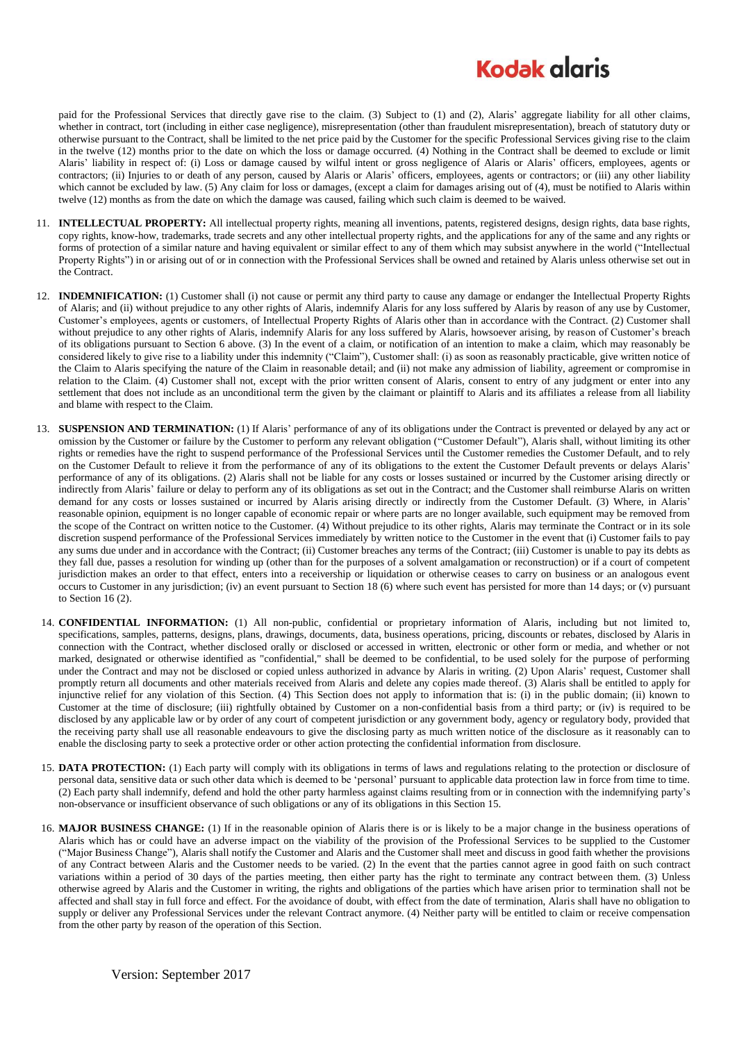## **Kodak glgris**

paid for the Professional Services that directly gave rise to the claim. (3) Subject to (1) and (2), Alaris' aggregate liability for all other claims, whether in contract, tort (including in either case negligence), misrepresentation (other than fraudulent misrepresentation), breach of statutory duty or otherwise pursuant to the Contract, shall be limited to the net price paid by the Customer for the specific Professional Services giving rise to the claim in the twelve (12) months prior to the date on which the loss or damage occurred. (4) Nothing in the Contract shall be deemed to exclude or limit Alaris' liability in respect of: (i) Loss or damage caused by wilful intent or gross negligence of Alaris or Alaris' officers, employees, agents or contractors; (ii) Injuries to or death of any person, caused by Alaris or Alaris' officers, employees, agents or contractors; or (iii) any other liability which cannot be excluded by law. (5) Any claim for loss or damages, (except a claim for damages arising out of (4), must be notified to Alaris within twelve (12) months as from the date on which the damage was caused, failing which such claim is deemed to be waived.

- 11. **INTELLECTUAL PROPERTY:** All intellectual property rights, meaning all inventions, patents, registered designs, design rights, data base rights, copy rights, know-how, trademarks, trade secrets and any other intellectual property rights, and the applications for any of the same and any rights or forms of protection of a similar nature and having equivalent or similar effect to any of them which may subsist anywhere in the world ("Intellectual Property Rights") in or arising out of or in connection with the Professional Services shall be owned and retained by Alaris unless otherwise set out in the Contract.
- 12. **INDEMNIFICATION:** (1) Customer shall (i) not cause or permit any third party to cause any damage or endanger the Intellectual Property Rights of Alaris; and (ii) without prejudice to any other rights of Alaris, indemnify Alaris for any loss suffered by Alaris by reason of any use by Customer, Customer's employees, agents or customers, of Intellectual Property Rights of Alaris other than in accordance with the Contract. (2) Customer shall without prejudice to any other rights of Alaris, indemnify Alaris for any loss suffered by Alaris, howsoever arising, by reason of Customer's breach of its obligations pursuant to Section 6 above. (3) In the event of a claim, or notification of an intention to make a claim, which may reasonably be considered likely to give rise to a liability under this indemnity ("Claim"), Customer shall: (i) as soon as reasonably practicable, give written notice of the Claim to Alaris specifying the nature of the Claim in reasonable detail; and (ii) not make any admission of liability, agreement or compromise in relation to the Claim. (4) Customer shall not, except with the prior written consent of Alaris, consent to entry of any judgment or enter into any settlement that does not include as an unconditional term the given by the claimant or plaintiff to Alaris and its affiliates a release from all liability and blame with respect to the Claim.
- 13. **SUSPENSION AND TERMINATION:** (1) If Alaris' performance of any of its obligations under the Contract is prevented or delayed by any act or omission by the Customer or failure by the Customer to perform any relevant obligation ("Customer Default"), Alaris shall, without limiting its other rights or remedies have the right to suspend performance of the Professional Services until the Customer remedies the Customer Default, and to rely on the Customer Default to relieve it from the performance of any of its obligations to the extent the Customer Default prevents or delays Alaris' performance of any of its obligations. (2) Alaris shall not be liable for any costs or losses sustained or incurred by the Customer arising directly or indirectly from Alaris' failure or delay to perform any of its obligations as set out in the Contract; and the Customer shall reimburse Alaris on written demand for any costs or losses sustained or incurred by Alaris arising directly or indirectly from the Customer Default. (3) Where, in Alaris' reasonable opinion, equipment is no longer capable of economic repair or where parts are no longer available, such equipment may be removed from the scope of the Contract on written notice to the Customer. (4) Without prejudice to its other rights, Alaris may terminate the Contract or in its sole discretion suspend performance of the Professional Services immediately by written notice to the Customer in the event that (i) Customer fails to pay any sums due under and in accordance with the Contract; (ii) Customer breaches any terms of the Contract; (iii) Customer is unable to pay its debts as they fall due, passes a resolution for winding up (other than for the purposes of a solvent amalgamation or reconstruction) or if a court of competent jurisdiction makes an order to that effect, enters into a receivership or liquidation or otherwise ceases to carry on business or an analogous event occurs to Customer in any jurisdiction; (iv) an event pursuant to Section 18 (6) where such event has persisted for more than 14 days; or (v) pursuant to Section [16](#page-1-0) (2).
- 14. **CONFIDENTIAL INFORMATION:** (1) All non-public, confidential or proprietary information of Alaris, including but not limited to, specifications, samples, patterns, designs, plans, drawings, documents, data, business operations, pricing, discounts or rebates, disclosed by Alaris in connection with the Contract, whether disclosed orally or disclosed or accessed in written, electronic or other form or media, and whether or not marked, designated or otherwise identified as "confidential," shall be deemed to be confidential, to be used solely for the purpose of performing under the Contract and may not be disclosed or copied unless authorized in advance by Alaris in writing. (2) Upon Alaris' request, Customer shall promptly return all documents and other materials received from Alaris and delete any copies made thereof. (3) Alaris shall be entitled to apply for injunctive relief for any violation of this Section. (4) This Section does not apply to information that is: (i) in the public domain; (ii) known to Customer at the time of disclosure; (iii) rightfully obtained by Customer on a non-confidential basis from a third party; or (iv) is required to be disclosed by any applicable law or by order of any court of competent jurisdiction or any government body, agency or regulatory body, provided that the receiving party shall use all reasonable endeavours to give the disclosing party as much written notice of the disclosure as it reasonably can to enable the disclosing party to seek a protective order or other action protecting the confidential information from disclosure.
- <span id="page-1-1"></span>15. **DATA PROTECTION:** (1) Each party will comply with its obligations in terms of laws and regulations relating to the protection or disclosure of personal data, sensitive data or such other data which is deemed to be 'personal' pursuant to applicable data protection law in force from time to time. (2) Each party shall indemnify, defend and hold the other party harmless against claims resulting from or in connection with the indemnifying party's non-observance or insufficient observance of such obligations or any of its obligations in this Sectio[n 15.](#page-1-1)
- <span id="page-1-0"></span>16. **MAJOR BUSINESS CHANGE:** (1) If in the reasonable opinion of Alaris there is or is likely to be a major change in the business operations of Alaris which has or could have an adverse impact on the viability of the provision of the Professional Services to be supplied to the Customer ("Major Business Change"), Alaris shall notify the Customer and Alaris and the Customer shall meet and discuss in good faith whether the provisions of any Contract between Alaris and the Customer needs to be varied. (2) In the event that the parties cannot agree in good faith on such contract variations within a period of 30 days of the parties meeting, then either party has the right to terminate any contract between them. (3) Unless otherwise agreed by Alaris and the Customer in writing, the rights and obligations of the parties which have arisen prior to termination shall not be affected and shall stay in full force and effect. For the avoidance of doubt, with effect from the date of termination, Alaris shall have no obligation to supply or deliver any Professional Services under the relevant Contract anymore. (4) Neither party will be entitled to claim or receive compensation from the other party by reason of the operation of this Section.